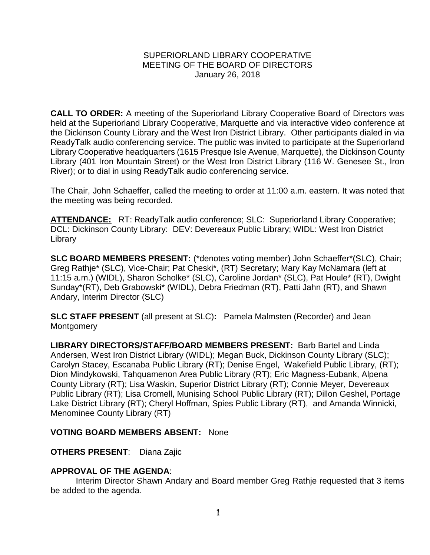# SUPERIORLAND LIBRARY COOPERATIVE MEETING OF THE BOARD OF DIRECTORS January 26, 2018

**CALL TO ORDER:** A meeting of the Superiorland Library Cooperative Board of Directors was held at the Superiorland Library Cooperative, Marquette and via interactive video conference at the Dickinson County Library and the West Iron District Library. Other participants dialed in via ReadyTalk audio conferencing service. The public was invited to participate at the Superiorland Library Cooperative headquarters (1615 Presque Isle Avenue, Marquette), the Dickinson County Library (401 Iron Mountain Street) or the West Iron District Library (116 W. Genesee St., Iron River); or to dial in using ReadyTalk audio conferencing service.

The Chair, John Schaeffer, called the meeting to order at 11:00 a.m. eastern. It was noted that the meeting was being recorded.

**ATTENDANCE:** RT: ReadyTalk audio conference; SLC: Superiorland Library Cooperative; DCL: Dickinson County Library: DEV: Devereaux Public Library; WIDL: West Iron District Library

**SLC BOARD MEMBERS PRESENT:** (\*denotes voting member) John Schaeffer\*(SLC), Chair; Greg Rathje\* (SLC), Vice-Chair; Pat Cheski\*, (RT) Secretary; Mary Kay McNamara (left at 11:15 a.m.) (WIDL), Sharon Scholke\* (SLC), Caroline Jordan\* (SLC), Pat Houle\* (RT), Dwight Sunday\*(RT), Deb Grabowski\* (WIDL), Debra Friedman (RT), Patti Jahn (RT), and Shawn Andary, Interim Director (SLC)

**SLC STAFF PRESENT** (all present at SLC)**:** Pamela Malmsten (Recorder) and Jean Montgomery

**LIBRARY DIRECTORS/STAFF/BOARD MEMBERS PRESENT:** Barb Bartel and Linda Andersen, West Iron District Library (WIDL); Megan Buck, Dickinson County Library (SLC); Carolyn Stacey, Escanaba Public Library (RT); Denise Engel, Wakefield Public Library, (RT); Dion Mindykowski, Tahquamenon Area Public Library (RT); Eric Magness-Eubank, Alpena County Library (RT); Lisa Waskin, Superior District Library (RT); Connie Meyer, Devereaux Public Library (RT); Lisa Cromell, Munising School Public Library (RT); Dillon Geshel, Portage Lake District Library (RT); Cheryl Hoffman, Spies Public Library (RT), and Amanda Winnicki, Menominee County Library (RT)

# **VOTING BOARD MEMBERS ABSENT:** None

# **OTHERS PRESENT**: Diana Zajic

# **APPROVAL OF THE AGENDA**:

Interim Director Shawn Andary and Board member Greg Rathje requested that 3 items be added to the agenda.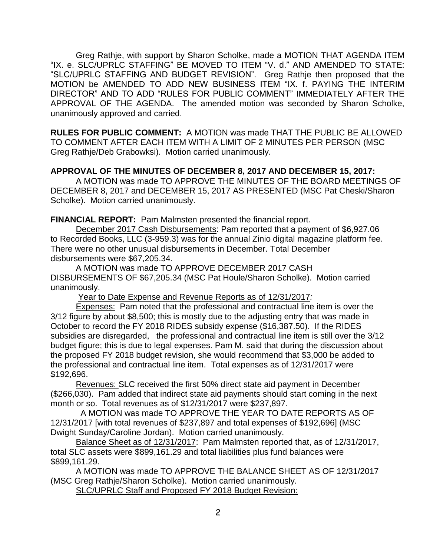Greg Rathje, with support by Sharon Scholke, made a MOTION THAT AGENDA ITEM "IX. e. SLC/UPRLC STAFFING" BE MOVED TO ITEM "V. d." AND AMENDED TO STATE: "SLC/UPRLC STAFFING AND BUDGET REVISION". Greg Rathje then proposed that the MOTION be AMENDED TO ADD NEW BUSINESS ITEM "IX. f. PAYING THE INTERIM DIRECTOR" AND TO ADD "RULES FOR PUBLIC COMMENT" IMMEDIATELY AFTER THE APPROVAL OF THE AGENDA. The amended motion was seconded by Sharon Scholke, unanimously approved and carried.

**RULES FOR PUBLIC COMMENT:** A MOTION was made THAT THE PUBLIC BE ALLOWED TO COMMENT AFTER EACH ITEM WITH A LIMIT OF 2 MINUTES PER PERSON (MSC Greg Rathje/Deb Grabowksi). Motion carried unanimously.

# **APPROVAL OF THE MINUTES OF DECEMBER 8, 2017 AND DECEMBER 15, 2017:**

A MOTION was made TO APPROVE THE MINUTES OF THE BOARD MEETINGS OF DECEMBER 8, 2017 and DECEMBER 15, 2017 AS PRESENTED (MSC Pat Cheski/Sharon Scholke). Motion carried unanimously.

**FINANCIAL REPORT:** Pam Malmsten presented the financial report.

December 2017 Cash Disbursements: Pam reported that a payment of \$6,927.06 to Recorded Books, LLC (3-959.3) was for the annual Zinio digital magazine platform fee. There were no other unusual disbursements in December. Total December disbursements were \$67,205.34.

A MOTION was made TO APPROVE DECEMBER 2017 CASH DISBURSEMENTS OF \$67,205.34 (MSC Pat Houle/Sharon Scholke). Motion carried unanimously.

Year to Date Expense and Revenue Reports as of 12/31/2017*:* 

Expenses: Pam noted that the professional and contractual line item is over the 3/12 figure by about \$8,500; this is mostly due to the adjusting entry that was made in October to record the FY 2018 RIDES subsidy expense (\$16,387.50). If the RIDES subsidies are disregarded, the professional and contractual line item is still over the 3/12 budget figure; this is due to legal expenses. Pam M. said that during the discussion about the proposed FY 2018 budget revision, she would recommend that \$3,000 be added to the professional and contractual line item. Total expenses as of 12/31/2017 were \$192,696.

Revenues: SLC received the first 50% direct state aid payment in December (\$266,030). Pam added that indirect state aid payments should start coming in the next month or so. Total revenues as of \$12/31/2017 were \$237,897.

 A MOTION was made TO APPROVE THE YEAR TO DATE REPORTS AS OF 12/31/2017 [with total revenues of \$237,897 and total expenses of \$192,696] (MSC Dwight Sunday/Caroline Jordan). Motion carried unanimously.

Balance Sheet as of 12/31/2017: Pam Malmsten reported that, as of 12/31/2017, total SLC assets were \$899,161.29 and total liabilities plus fund balances were \$899,161.29.

A MOTION was made TO APPROVE THE BALANCE SHEET AS OF 12/31/2017 (MSC Greg Rathje/Sharon Scholke). Motion carried unanimously.

SLC/UPRLC Staff and Proposed FY 2018 Budget Revision: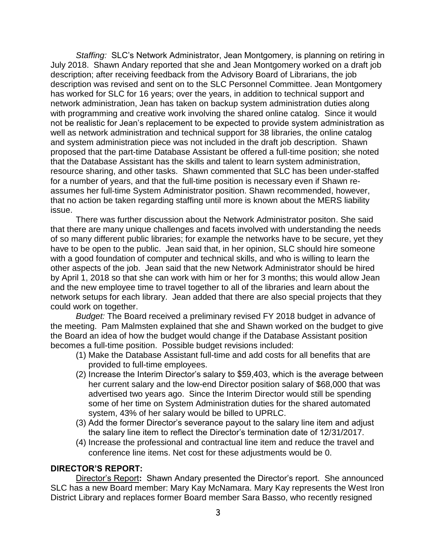*Staffing:* SLC's Network Administrator, Jean Montgomery, is planning on retiring in July 2018. Shawn Andary reported that she and Jean Montgomery worked on a draft job description; after receiving feedback from the Advisory Board of Librarians, the job description was revised and sent on to the SLC Personnel Committee. Jean Montgomery has worked for SLC for 16 years; over the years, in addition to technical support and network administration, Jean has taken on backup system administration duties along with programming and creative work involving the shared online catalog. Since it would not be realistic for Jean's replacement to be expected to provide system administration as well as network administration and technical support for 38 libraries, the online catalog and system administration piece was not included in the draft job description. Shawn proposed that the part-time Database Assistant be offered a full-time position; she noted that the Database Assistant has the skills and talent to learn system administration, resource sharing, and other tasks. Shawn commented that SLC has been under-staffed for a number of years, and that the full-time position is necessary even if Shawn reassumes her full-time System Administrator position. Shawn recommended, however, that no action be taken regarding staffing until more is known about the MERS liability issue.

There was further discussion about the Network Administrator positon. She said that there are many unique challenges and facets involved with understanding the needs of so many different public libraries; for example the networks have to be secure, yet they have to be open to the public. Jean said that, in her opinion, SLC should hire someone with a good foundation of computer and technical skills, and who is willing to learn the other aspects of the job. Jean said that the new Network Administrator should be hired by April 1, 2018 so that she can work with him or her for 3 months; this would allow Jean and the new employee time to travel together to all of the libraries and learn about the network setups for each library. Jean added that there are also special projects that they could work on together.

*Budget:* The Board received a preliminary revised FY 2018 budget in advance of the meeting. Pam Malmsten explained that she and Shawn worked on the budget to give the Board an idea of how the budget would change if the Database Assistant position becomes a full-time position. Possible budget revisions included:

- (1) Make the Database Assistant full-time and add costs for all benefits that are provided to full-time employees.
- (2) Increase the Interim Director's salary to \$59,403, which is the average between her current salary and the low-end Director position salary of \$68,000 that was advertised two years ago. Since the Interim Director would still be spending some of her time on System Administration duties for the shared automated system, 43% of her salary would be billed to UPRLC.
- (3) Add the former Director's severance payout to the salary line item and adjust the salary line item to reflect the Director's termination date of 12/31/2017.
- (4) Increase the professional and contractual line item and reduce the travel and conference line items. Net cost for these adjustments would be 0.

#### **DIRECTOR'S REPORT:**

Director's Report**:** Shawn Andary presented the Director's report. She announced SLC has a new Board member: Mary Kay McNamara. Mary Kay represents the West Iron District Library and replaces former Board member Sara Basso, who recently resigned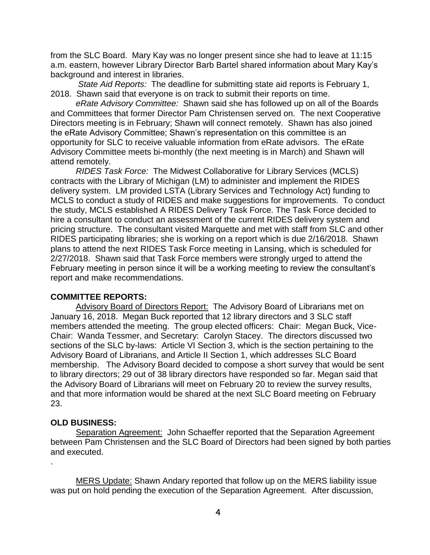from the SLC Board. Mary Kay was no longer present since she had to leave at 11:15 a.m. eastern, however Library Director Barb Bartel shared information about Mary Kay's background and interest in libraries.

*State Aid Reports:* The deadline for submitting state aid reports is February 1, 2018. Shawn said that everyone is on track to submit their reports on time.

*eRate Advisory Committee:* Shawn said she has followed up on all of the Boards and Committees that former Director Pam Christensen served on. The next Cooperative Directors meeting is in February; Shawn will connect remotely. Shawn has also joined the eRate Advisory Committee; Shawn's representation on this committee is an opportunity for SLC to receive valuable information from eRate advisors. The eRate Advisory Committee meets bi-monthly (the next meeting is in March) and Shawn will attend remotely.

*RIDES Task Force:* The Midwest Collaborative for Library Services (MCLS) contracts with the Library of Michigan (LM) to administer and implement the RIDES delivery system. LM provided LSTA (Library Services and Technology Act) funding to MCLS to conduct a study of RIDES and make suggestions for improvements. To conduct the study, MCLS established A RIDES Delivery Task Force. The Task Force decided to hire a consultant to conduct an assessment of the current RIDES delivery system and pricing structure. The consultant visited Marquette and met with staff from SLC and other RIDES participating libraries; she is working on a report which is due 2/16/2018. Shawn plans to attend the next RIDES Task Force meeting in Lansing, which is scheduled for 2/27/2018. Shawn said that Task Force members were strongly urged to attend the February meeting in person since it will be a working meeting to review the consultant's report and make recommendations.

# **COMMITTEE REPORTS:**

Advisory Board of Directors Report: The Advisory Board of Librarians met on January 16, 2018. Megan Buck reported that 12 library directors and 3 SLC staff members attended the meeting. The group elected officers: Chair: Megan Buck, Vice-Chair: Wanda Tessmer, and Secretary: Carolyn Stacey. The directors discussed two sections of the SLC by-laws: Article VI Section 3, which is the section pertaining to the Advisory Board of Librarians, and Article II Section 1, which addresses SLC Board membership. The Advisory Board decided to compose a short survey that would be sent to library directors; 29 out of 38 library directors have responded so far. Megan said that the Advisory Board of Librarians will meet on February 20 to review the survey results, and that more information would be shared at the next SLC Board meeting on February 23.

#### **OLD BUSINESS:**

.

Separation Agreement: John Schaeffer reported that the Separation Agreement between Pam Christensen and the SLC Board of Directors had been signed by both parties and executed.

MERS Update: Shawn Andary reported that follow up on the MERS liability issue was put on hold pending the execution of the Separation Agreement. After discussion,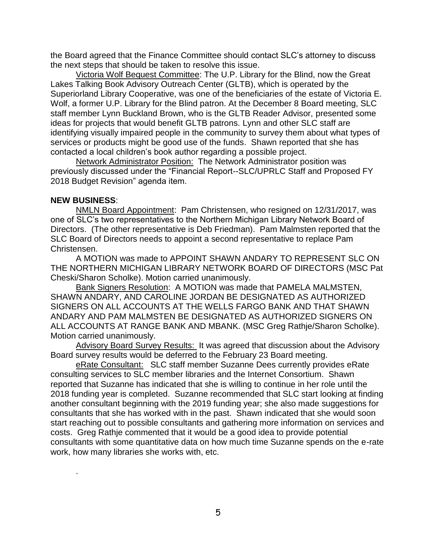the Board agreed that the Finance Committee should contact SLC's attorney to discuss the next steps that should be taken to resolve this issue.

Victoria Wolf Bequest Committee: The U.P. Library for the Blind, now the Great Lakes Talking Book Advisory Outreach Center (GLTB), which is operated by the Superiorland Library Cooperative, was one of the beneficiaries of the estate of Victoria E. Wolf, a former U.P. Library for the Blind patron. At the December 8 Board meeting, SLC staff member Lynn Buckland Brown, who is the GLTB Reader Advisor, presented some ideas for projects that would benefit GLTB patrons. Lynn and other SLC staff are identifying visually impaired people in the community to survey them about what types of services or products might be good use of the funds. Shawn reported that she has contacted a local children's book author regarding a possible project.

Network Administrator Position: The Network Administrator position was previously discussed under the "Financial Report--SLC/UPRLC Staff and Proposed FY 2018 Budget Revision" agenda item.

#### **NEW BUSINESS**:

.

NMLN Board Appointment: Pam Christensen, who resigned on 12/31/2017, was one of SLC's two representatives to the Northern Michigan Library Network Board of Directors. (The other representative is Deb Friedman). Pam Malmsten reported that the SLC Board of Directors needs to appoint a second representative to replace Pam Christensen.

A MOTION was made to APPOINT SHAWN ANDARY TO REPRESENT SLC ON THE NORTHERN MICHIGAN LIBRARY NETWORK BOARD OF DIRECTORS (MSC Pat Cheski/Sharon Scholke). Motion carried unanimously.

Bank Signers Resolution: A MOTION was made that PAMELA MALMSTEN, SHAWN ANDARY, AND CAROLINE JORDAN BE DESIGNATED AS AUTHORIZED SIGNERS ON ALL ACCOUNTS AT THE WELLS FARGO BANK AND THAT SHAWN ANDARY AND PAM MALMSTEN BE DESIGNATED AS AUTHORIZED SIGNERS ON ALL ACCOUNTS AT RANGE BANK AND MBANK. (MSC Greg Rathje/Sharon Scholke). Motion carried unanimously.

Advisory Board Survey Results: It was agreed that discussion about the Advisory Board survey results would be deferred to the February 23 Board meeting.

eRate Consultant: SLC staff member Suzanne Dees currently provides eRate consulting services to SLC member libraries and the Internet Consortium. Shawn reported that Suzanne has indicated that she is willing to continue in her role until the 2018 funding year is completed. Suzanne recommended that SLC start looking at finding another consultant beginning with the 2019 funding year; she also made suggestions for consultants that she has worked with in the past. Shawn indicated that she would soon start reaching out to possible consultants and gathering more information on services and costs. Greg Rathje commented that it would be a good idea to provide potential consultants with some quantitative data on how much time Suzanne spends on the e-rate work, how many libraries she works with, etc.